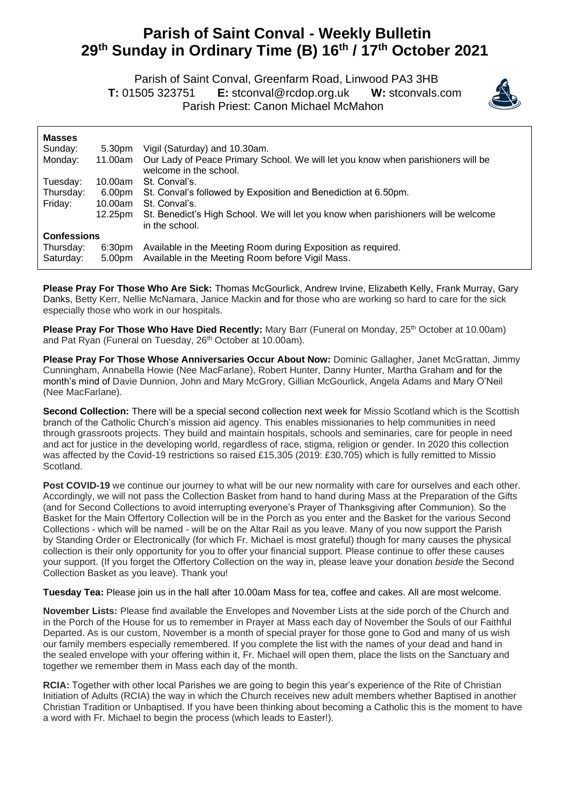## **Parish of Saint Conval - Weekly Bulletin 29 th Sunday in Ordinary Time (B) 16th / 17 th October 2021**

 Parish of Saint Conval, Greenfarm Road, Linwood PA3 3HB **T:** 01505 323751 **E:** [stconval@rcdop.org.uk](mailto:stconval@rcdop.org.uk) **W:** stconvals.com Parish Priest: Canon Michael McMahon



| <b>Masses</b>          |                              |                                                                                                                  |
|------------------------|------------------------------|------------------------------------------------------------------------------------------------------------------|
| Sunday:                | 5.30pm                       | Vigil (Saturday) and 10.30am.                                                                                    |
| Monday:                | 11.00am                      | Our Lady of Peace Primary School. We will let you know when parishioners will be<br>welcome in the school.       |
| Tuesday:               | 10.00am                      | St. Conval's.                                                                                                    |
| Thursday:              | 6.00pm                       | St. Conval's followed by Exposition and Benediction at 6.50pm.                                                   |
| Friday:                | 10.00am                      | St. Conval's.                                                                                                    |
|                        | 12.25pm                      | St. Benedict's High School. We will let you know when parishioners will be welcome<br>in the school.             |
| <b>Confessions</b>     |                              |                                                                                                                  |
| Thursday:<br>Saturday: | 6:30 <sub>pm</sub><br>5.00pm | Available in the Meeting Room during Exposition as required.<br>Available in the Meeting Room before Vigil Mass. |
|                        |                              |                                                                                                                  |

**Please Pray For Those Who Are Sick:** Thomas McGourlick, Andrew Irvine, Elizabeth Kelly, Frank Murray, Gary Danks, Betty Kerr, Nellie McNamara, Janice Mackin and for those who are working so hard to care for the sick especially those who work in our hospitals.

**Please Pray For Those Who Have Died Recently:** Mary Barr (Funeral on Monday, 25<sup>th</sup> October at 10.00am) and Pat Ryan (Funeral on Tuesday, 26<sup>th</sup> October at 10.00am).

**Please Pray For Those Whose Anniversaries Occur About Now:** Dominic Gallagher, Janet McGrattan, Jimmy Cunningham, Annabella Howie (Nee MacFarlane), Robert Hunter, Danny Hunter, Martha Graham and for the month's mind of Davie Dunnion, John and Mary McGrory, Gillian McGourlick, Angela Adams and Mary O'Neil (Nee MacFarlane).

**Second Collection:** There will be a special second collection next week for Missio Scotland which is the Scottish branch of the Catholic Church's mission aid agency. This enables missionaries to help communities in need through grassroots projects. They build and maintain hospitals, schools and seminaries, care for people in need and act for justice in the developing world, regardless of race, stigma, religion or gender. In 2020 this collection was affected by the Covid-19 restrictions so raised £15,305 (2019: £30,705) which is fully remitted to Missio Scotland.

**Post COVID-19** we continue our journey to what will be our new normality with care for ourselves and each other. Accordingly, we will not pass the Collection Basket from hand to hand during Mass at the Preparation of the Gifts (and for Second Collections to avoid interrupting everyone's Prayer of Thanksgiving after Communion). So the Basket for the Main Offertory Collection will be in the Porch as you enter and the Basket for the various Second Collections - which will be named - will be on the Altar Rail as you leave. Many of you now support the Parish by Standing Order or Electronically (for which Fr. Michael is most grateful) though for many causes the physical collection is their only opportunity for you to offer your financial support. Please continue to offer these causes your support. (If you forget the Offertory Collection on the way in, please leave your donation *beside* the Second Collection Basket as you leave). Thank you!

**Tuesday Tea:** Please join us in the hall after 10.00am Mass for tea, coffee and cakes. All are most welcome.

**November Lists:** Please find available the Envelopes and November Lists at the side porch of the Church and in the Porch of the House for us to remember in Prayer at Mass each day of November the Souls of our Faithful Departed. As is our custom, November is a month of special prayer for those gone to God and many of us wish our family members especially remembered. If you complete the list with the names of your dead and hand in the sealed envelope with your offering within it, Fr. Michael will open them, place the lists on the Sanctuary and together we remember them in Mass each day of the month.

**RCIA:** Together with other local Parishes we are going to begin this year's experience of the Rite of Christian Initiation of Adults (RCIA) the way in which the Church receives new adult members whether Baptised in another Christian Tradition or Unbaptised. If you have been thinking about becoming a Catholic this is the moment to have a word with Fr. Michael to begin the process (which leads to Easter!).